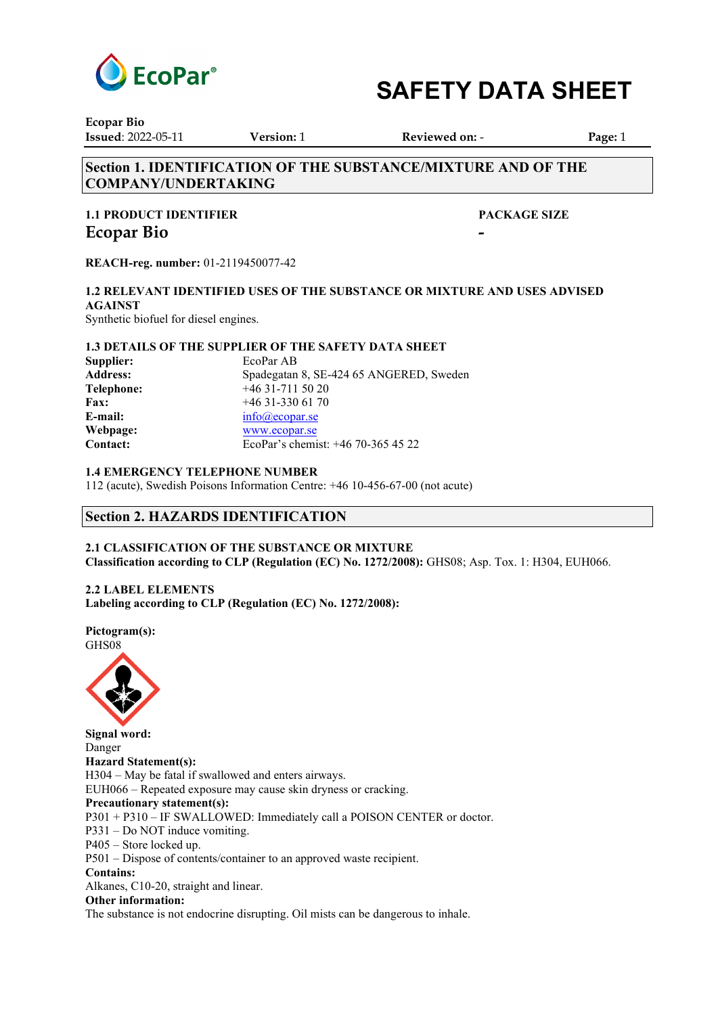

**Ecopar Bio Issued**: 2022-05-11 **Version:** 1 **Reviewed on:** - **Page:** 1

# **Section 1. IDENTIFICATION OF THE SUBSTANCE/MIXTURE AND OF THE COMPANY/UNDERTAKING**

# **1.1 PRODUCT IDENTIFIER PACKAGE SIZE Ecopar Bio**

**REACH-reg. number:** 01-2119450077-42

# **1.2 RELEVANT IDENTIFIED USES OF THE SUBSTANCE OR MIXTURE AND USES ADVISED AGAINST**

Synthetic biofuel for diesel engines.

### **1.3 DETAILS OF THE SUPPLIER OF THE SAFETY DATA SHEET**

| Supplier:         | EcoPar AB                               |
|-------------------|-----------------------------------------|
| <b>Address:</b>   | Spadegatan 8, SE-424 65 ANGERED, Sweden |
| <b>Telephone:</b> | $+46$ 31-711 50 20                      |
| <b>Fax:</b>       | $+4631-3306170$                         |
| E-mail:           | info@ecopar.se                          |
| Webpage:          | www.ecopar.se                           |
| Contact:          | EcoPar's chemist: +46 70-365 45 22      |

### **1.4 EMERGENCY TELEPHONE NUMBER**

112 (acute), Swedish Poisons Information Centre: +46 10-456-67-00 (not acute)

# **Section 2. HAZARDS IDENTIFICATION**

# **2.1 CLASSIFICATION OF THE SUBSTANCE OR MIXTURE**

**Classification according to CLP (Regulation (EC) No. 1272/2008):** GHS08; Asp. Tox. 1: H304, EUH066.

# **2.2 LABEL ELEMENTS**

**Labeling according to CLP (Regulation (EC) No. 1272/2008):** 

**Pictogram(s):**  GHS08



**Signal word:**  Danger **Hazard Statement(s):**  H304 – May be fatal if swallowed and enters airways. EUH066 – Repeated exposure may cause skin dryness or cracking. **Precautionary statement(s):**  P301 + P310 – IF SWALLOWED: Immediately call a POISON CENTER or doctor. P331 – Do NOT induce vomiting. P405 – Store locked up. P501 – Dispose of contents/container to an approved waste recipient. **Contains:** Alkanes, C10-20, straight and linear. **Other information:**

The substance is not endocrine disrupting. Oil mists can be dangerous to inhale.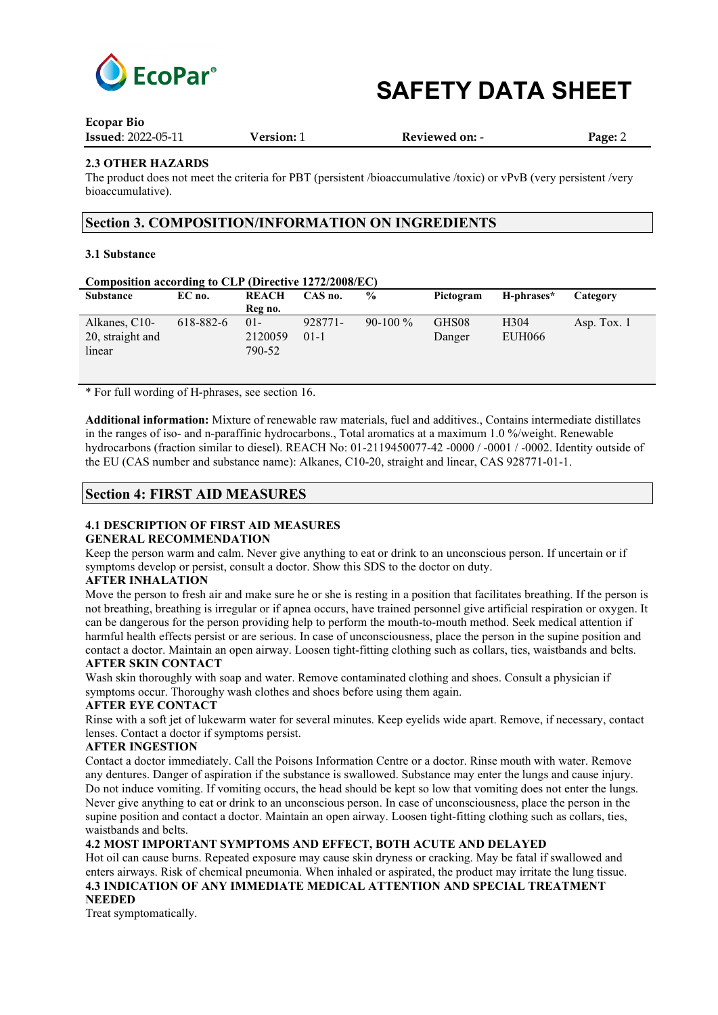

| $-000$ $-0.00$            |                   |                       |         |
|---------------------------|-------------------|-----------------------|---------|
| <b>Issued: 2022-05-11</b> | <b>Version:</b> 1 | <b>Reviewed on: -</b> | Page: 2 |

#### **2.3 OTHER HAZARDS**

The product does not meet the criteria for PBT (persistent /bioaccumulative /toxic) or vPvB (very persistent /very bioaccumulative).

#### **Section 3. COMPOSITION/INFORMATION ON INGREDIENTS**

#### **3.1 Substance**

**Ecopar Bio**

#### **Composition according to CLP (Directive 1272/2008/EC)**

| <b>Substance</b>                            | EC no.    | <b>REACH</b><br>Reg no.     | CAS no.           | $\frac{6}{10}$ | Pictogram       | H-phrases*                 | Category      |
|---------------------------------------------|-----------|-----------------------------|-------------------|----------------|-----------------|----------------------------|---------------|
| Alkanes, C10-<br>20, straight and<br>linear | 618-882-6 | $01 -$<br>2120059<br>790-52 | 928771-<br>$01-1$ | $90-100\%$     | GHS08<br>Danger | H <sub>304</sub><br>EUH066 | Asp. Tox. $1$ |

\* For full wording of H-phrases, see section 16.

**Additional information:** Mixture of renewable raw materials, fuel and additives., Contains intermediate distillates in the ranges of iso- and n-paraffinic hydrocarbons., Total aromatics at a maximum 1.0 %/weight. Renewable hydrocarbons (fraction similar to diesel). REACH No: 01-2119450077-42 -0000 / -0001 / -0002. Identity outside of the EU (CAS number and substance name): Alkanes, C10-20, straight and linear, CAS 928771-01-1.

#### **Section 4: FIRST AID MEASURES**

#### **4.1 DESCRIPTION OF FIRST AID MEASURES GENERAL RECOMMENDATION**

Keep the person warm and calm. Never give anything to eat or drink to an unconscious person. If uncertain or if symptoms develop or persist, consult a doctor. Show this SDS to the doctor on duty.

#### **AFTER INHALATION**

Move the person to fresh air and make sure he or she is resting in a position that facilitates breathing. If the person is not breathing, breathing is irregular or if apnea occurs, have trained personnel give artificial respiration or oxygen. It can be dangerous for the person providing help to perform the mouth-to-mouth method. Seek medical attention if harmful health effects persist or are serious. In case of unconsciousness, place the person in the supine position and contact a doctor. Maintain an open airway. Loosen tight-fitting clothing such as collars, ties, waistbands and belts.

#### **AFTER SKIN CONTACT**

Wash skin thoroughly with soap and water. Remove contaminated clothing and shoes. Consult a physician if symptoms occur. Thoroughy wash clothes and shoes before using them again.

#### **AFTER EYE CONTACT**

Rinse with a soft jet of lukewarm water for several minutes. Keep eyelids wide apart. Remove, if necessary, contact lenses. Contact a doctor if symptoms persist.

#### **AFTER INGESTION**

Contact a doctor immediately. Call the Poisons Information Centre or a doctor. Rinse mouth with water. Remove any dentures. Danger of aspiration if the substance is swallowed. Substance may enter the lungs and cause injury. Do not induce vomiting. If vomiting occurs, the head should be kept so low that vomiting does not enter the lungs. Never give anything to eat or drink to an unconscious person. In case of unconsciousness, place the person in the supine position and contact a doctor. Maintain an open airway. Loosen tight-fitting clothing such as collars, ties, waistbands and belts.

#### **4.2 MOST IMPORTANT SYMPTOMS AND EFFECT, BOTH ACUTE AND DELAYED**

Hot oil can cause burns. Repeated exposure may cause skin dryness or cracking. May be fatal if swallowed and enters airways. Risk of chemical pneumonia. When inhaled or aspirated, the product may irritate the lung tissue. **4.3 INDICATION OF ANY IMMEDIATE MEDICAL ATTENTION AND SPECIAL TREATMENT** 

# **NEEDED**

Treat symptomatically.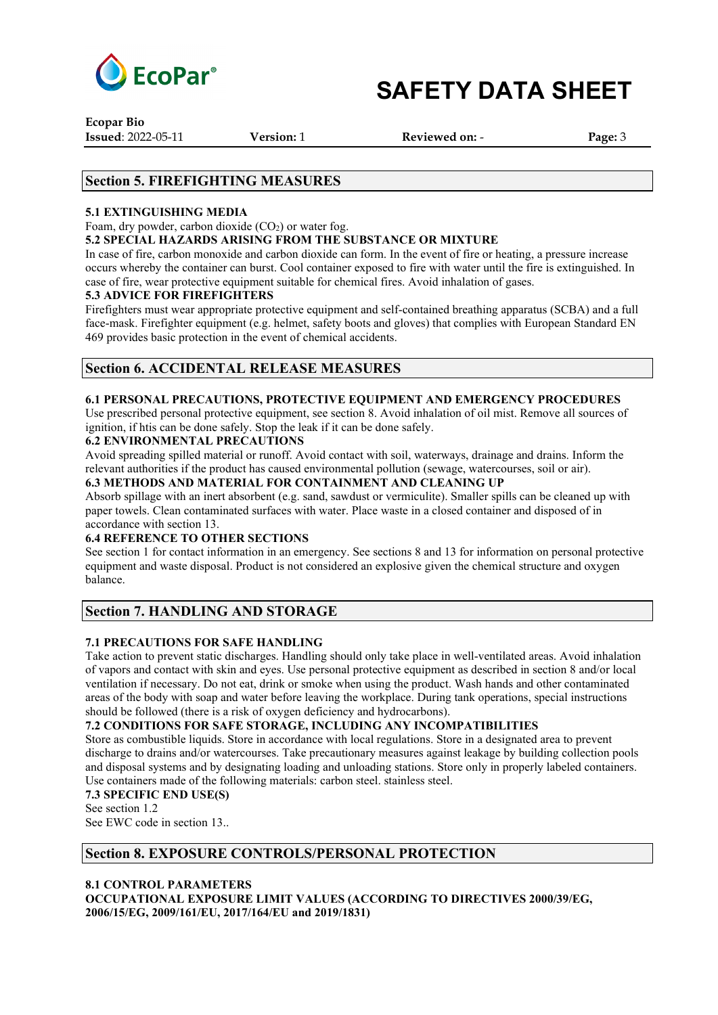

**Ecopar Bio Issued**: 2022-05-11 **Version:** 1 **Reviewed on:** - **Page:** 3

### **Section 5. FIREFIGHTING MEASURES**

#### **5.1 EXTINGUISHING MEDIA**

Foam, dry powder, carbon dioxide  $(CO<sub>2</sub>)$  or water fog.

#### **5.2 SPECIAL HAZARDS ARISING FROM THE SUBSTANCE OR MIXTURE**

In case of fire, carbon monoxide and carbon dioxide can form. In the event of fire or heating, a pressure increase occurs whereby the container can burst. Cool container exposed to fire with water until the fire is extinguished. In case of fire, wear protective equipment suitable for chemical fires. Avoid inhalation of gases.

#### **5.3 ADVICE FOR FIREFIGHTERS**

Firefighters must wear appropriate protective equipment and self-contained breathing apparatus (SCBA) and a full face-mask. Firefighter equipment (e.g. helmet, safety boots and gloves) that complies with European Standard EN 469 provides basic protection in the event of chemical accidents.

### **Section 6. ACCIDENTAL RELEASE MEASURES**

#### **6.1 PERSONAL PRECAUTIONS, PROTECTIVE EQUIPMENT AND EMERGENCY PROCEDURES**

Use prescribed personal protective equipment, see section 8. Avoid inhalation of oil mist. Remove all sources of ignition, if htis can be done safely. Stop the leak if it can be done safely.

#### **6.2 ENVIRONMENTAL PRECAUTIONS**

Avoid spreading spilled material or runoff. Avoid contact with soil, waterways, drainage and drains. Inform the relevant authorities if the product has caused environmental pollution (sewage, watercourses, soil or air).

#### **6.3 METHODS AND MATERIAL FOR CONTAINMENT AND CLEANING UP** Absorb spillage with an inert absorbent (e.g. sand, sawdust or vermiculite). Smaller spills can be cleaned up with

paper towels. Clean contaminated surfaces with water. Place waste in a closed container and disposed of in accordance with section 13.

#### **6.4 REFERENCE TO OTHER SECTIONS**

See section 1 for contact information in an emergency. See sections 8 and 13 for information on personal protective equipment and waste disposal. Product is not considered an explosive given the chemical structure and oxygen balance.

## **Section 7. HANDLING AND STORAGE**

#### **7.1 PRECAUTIONS FOR SAFE HANDLING**

Take action to prevent static discharges. Handling should only take place in well-ventilated areas. Avoid inhalation of vapors and contact with skin and eyes. Use personal protective equipment as described in section 8 and/or local ventilation if necessary. Do not eat, drink or smoke when using the product. Wash hands and other contaminated areas of the body with soap and water before leaving the workplace. During tank operations, special instructions should be followed (there is a risk of oxygen deficiency and hydrocarbons).

### **7.2 CONDITIONS FOR SAFE STORAGE, INCLUDING ANY INCOMPATIBILITIES**

Store as combustible liquids. Store in accordance with local regulations. Store in a designated area to prevent discharge to drains and/or watercourses. Take precautionary measures against leakage by building collection pools and disposal systems and by designating loading and unloading stations. Store only in properly labeled containers. Use containers made of the following materials: carbon steel. stainless steel.

#### **7.3 SPECIFIC END USE(S)**

See section 1.2 See EWC code in section 13..

## **Section 8. EXPOSURE CONTROLS/PERSONAL PROTECTION**

### **8.1 CONTROL PARAMETERS**

**OCCUPATIONAL EXPOSURE LIMIT VALUES (ACCORDING TO DIRECTIVES 2000/39/EG, 2006/15/EG, 2009/161/EU, 2017/164/EU and 2019/1831)**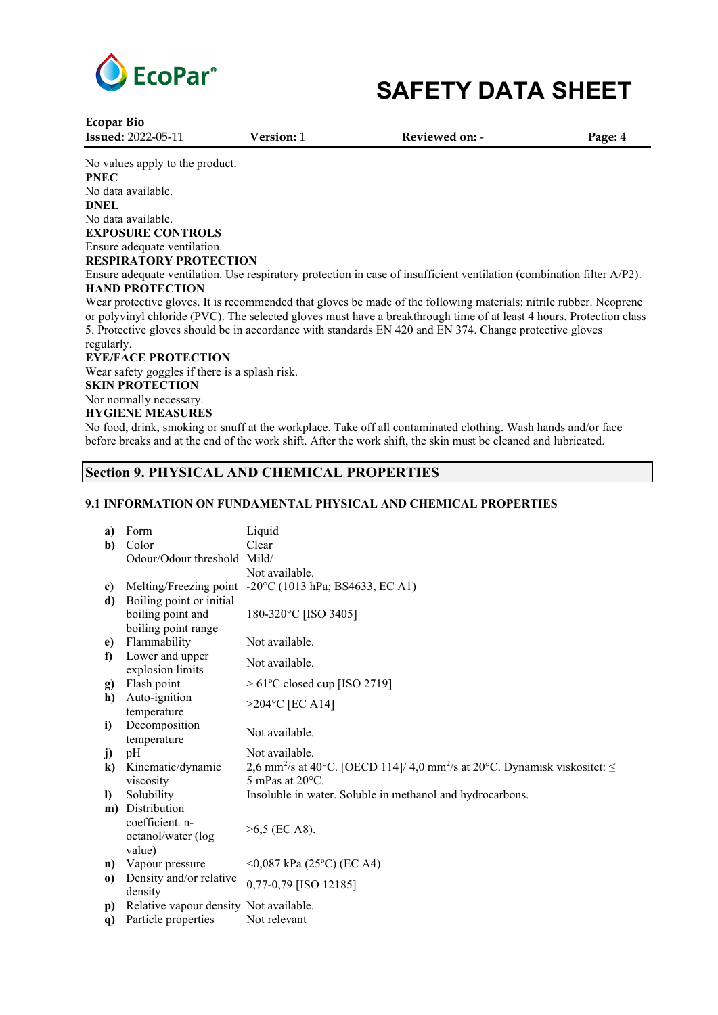

**Ecopar Bio Issued**: 2022-05-11 **Version:** 1 **Reviewed on:** - **Page:** 4 No values apply to the product. **PNEC** No data available. **DNEL** No data available. **EXPOSURE CONTROLS** Ensure adequate ventilation. **RESPIRATORY PROTECTION** Ensure adequate ventilation. Use respiratory protection in case of insufficient ventilation (combination filter A/P2). **HAND PROTECTION** Wear protective gloves. It is recommended that gloves be made of the following materials: nitrile rubber. Neoprene or polyvinyl chloride (PVC). The selected gloves must have a breakthrough time of at least 4 hours. Protection class 5. Protective gloves should be in accordance with standards EN 420 and EN 374. Change protective gloves regularly. **EYE/FACE PROTECTION** Wear safety goggles if there is a splash risk. **SKIN PROTECTION** Nor normally necessary. **HYGIENE MEASURES**

No food, drink, smoking or snuff at the workplace. Take off all contaminated clothing. Wash hands and/or face before breaks and at the end of the work shift. After the work shift, the skin must be cleaned and lubricated.

### **Section 9. PHYSICAL AND CHEMICAL PROPERTIES**

#### **9.1 INFORMATION ON FUNDAMENTAL PHYSICAL AND CHEMICAL PROPERTIES**

| a)           | Form                                   | Liquid                                                                                                  |
|--------------|----------------------------------------|---------------------------------------------------------------------------------------------------------|
| b)           | Color                                  | Clear                                                                                                   |
|              | Odour/Odour threshold Mild/            |                                                                                                         |
|              |                                        | Not available.                                                                                          |
| c)           |                                        | Melting/Freezing point -20°C (1013 hPa; BS4633, EC A1)                                                  |
| d)           | Boiling point or initial               |                                                                                                         |
|              | boiling point and                      | 180-320°C [ISO 3405]                                                                                    |
|              | boiling point range                    |                                                                                                         |
| e)           | Flammability                           | Not available.                                                                                          |
| $\mathbf f$  | Lower and upper<br>explosion limits    | Not available.                                                                                          |
| g)           | Flash point                            | $>61^{\circ}$ C closed cup [ISO 2719]                                                                   |
| h)           | Auto-ignition                          |                                                                                                         |
|              | temperature                            | $>204$ °C [EC A14]                                                                                      |
| i)           | Decomposition                          | Not available.                                                                                          |
|              | temperature                            |                                                                                                         |
| j)           | pH                                     | Not available.                                                                                          |
| $\bf k$      | Kinematic/dynamic                      | 2,6 mm <sup>2</sup> /s at 40°C. [OECD 114]/ 4,0 mm <sup>2</sup> /s at 20°C. Dynamisk viskositet: $\leq$ |
|              | viscosity                              | 5 mPas at $20^{\circ}$ C.                                                                               |
| $\mathbf{D}$ | Solubility                             | Insoluble in water. Soluble in methanol and hydrocarbons.                                               |
|              | m) Distribution                        |                                                                                                         |
|              | coefficient. n-                        | $>6,5$ (EC A8).                                                                                         |
|              | octanol/water (log                     |                                                                                                         |
|              | value)                                 |                                                                                                         |
| n)           | Vapour pressure                        | $\leq$ 0,087 kPa (25°C) (EC A4)                                                                         |
| $\bf{0}$     | Density and/or relative<br>density     | 0,77-0,79 [ISO 12185]                                                                                   |
| p)           | Relative vapour density Not available. |                                                                                                         |
| q)           | Particle properties                    | Not relevant                                                                                            |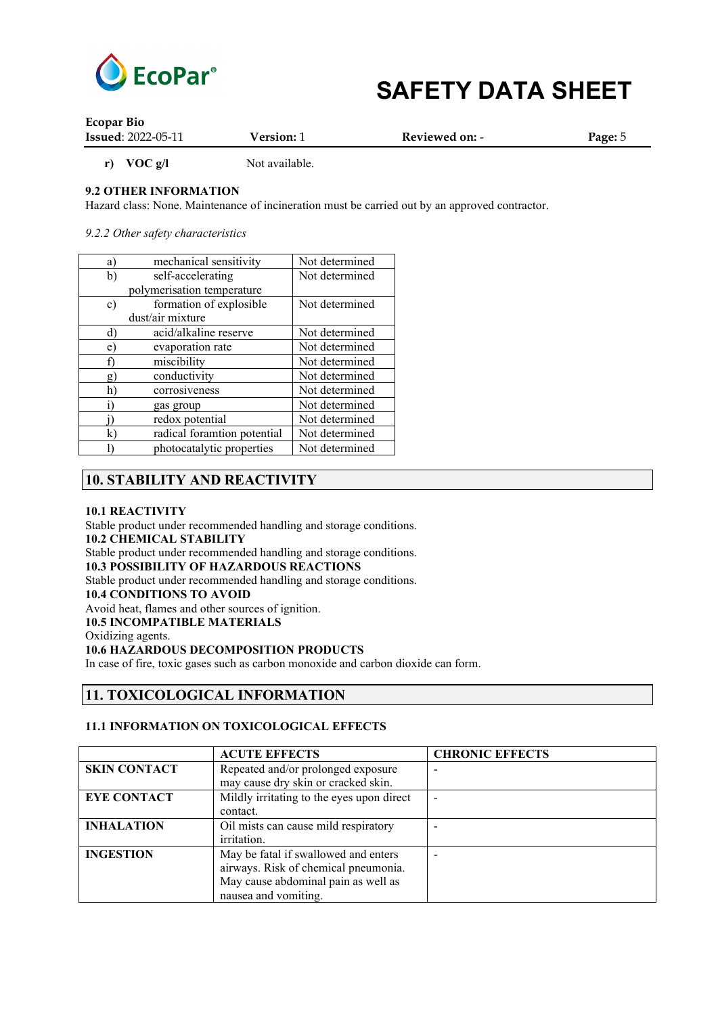

| <b>Ecopar Bio</b>         |                   |                |         |
|---------------------------|-------------------|----------------|---------|
| <b>Issued: 2022-05-11</b> | <b>Version: 1</b> | Reviewed on: - | Page: 5 |

**r) VOC** g/l Not available.

### **9.2 OTHER INFORMATION**

Hazard class: None. Maintenance of incineration must be carried out by an approved contractor.

*9.2.2 Other safety characteristics*

| a <sup>'</sup> | mechanical sensitivity      | Not determined |
|----------------|-----------------------------|----------------|
| b)             | self-accelerating           | Not determined |
|                | polymerisation temperature  |                |
| $\mathbf{c})$  | formation of explosible     | Not determined |
|                | dust/air mixture            |                |
| ď              | acid/alkaline reserve       | Not determined |
| e              | evaporation rate            | Not determined |
|                | miscibility                 | Not determined |
| Q              | conductivity                | Not determined |
| h              | corrosiveness               | Not determined |
|                | gas group                   | Not determined |
|                | redox potential             | Not determined |
| k              | radical foramtion potential | Not determined |
|                | photocatalytic properties   | Not determined |

### **10. STABILITY AND REACTIVITY**

#### **10.1 REACTIVITY**

Stable product under recommended handling and storage conditions. **10.2 CHEMICAL STABILITY** Stable product under recommended handling and storage conditions. **10.3 POSSIBILITY OF HAZARDOUS REACTIONS** Stable product under recommended handling and storage conditions. **10.4 CONDITIONS TO AVOID** Avoid heat, flames and other sources of ignition. **10.5 INCOMPATIBLE MATERIALS** Oxidizing agents. **10.6 HAZARDOUS DECOMPOSITION PRODUCTS**

In case of fire, toxic gases such as carbon monoxide and carbon dioxide can form.

### **11. TOXICOLOGICAL INFORMATION**

#### **11.1 INFORMATION ON TOXICOLOGICAL EFFECTS**

|                     | <b>ACUTE EFFECTS</b>                      | <b>CHRONIC EFFECTS</b>   |
|---------------------|-------------------------------------------|--------------------------|
| <b>SKIN CONTACT</b> | Repeated and/or prolonged exposure        | $\overline{\phantom{0}}$ |
|                     | may cause dry skin or cracked skin.       |                          |
| <b>EYE CONTACT</b>  | Mildly irritating to the eyes upon direct | $\overline{\phantom{0}}$ |
|                     | contact.                                  |                          |
| <b>INHALATION</b>   | Oil mists can cause mild respiratory      |                          |
|                     | irritation.                               |                          |
| <b>INGESTION</b>    | May be fatal if swallowed and enters      | $\overline{\phantom{0}}$ |
|                     | airways. Risk of chemical pneumonia.      |                          |
|                     | May cause abdominal pain as well as       |                          |
|                     | nausea and vomiting.                      |                          |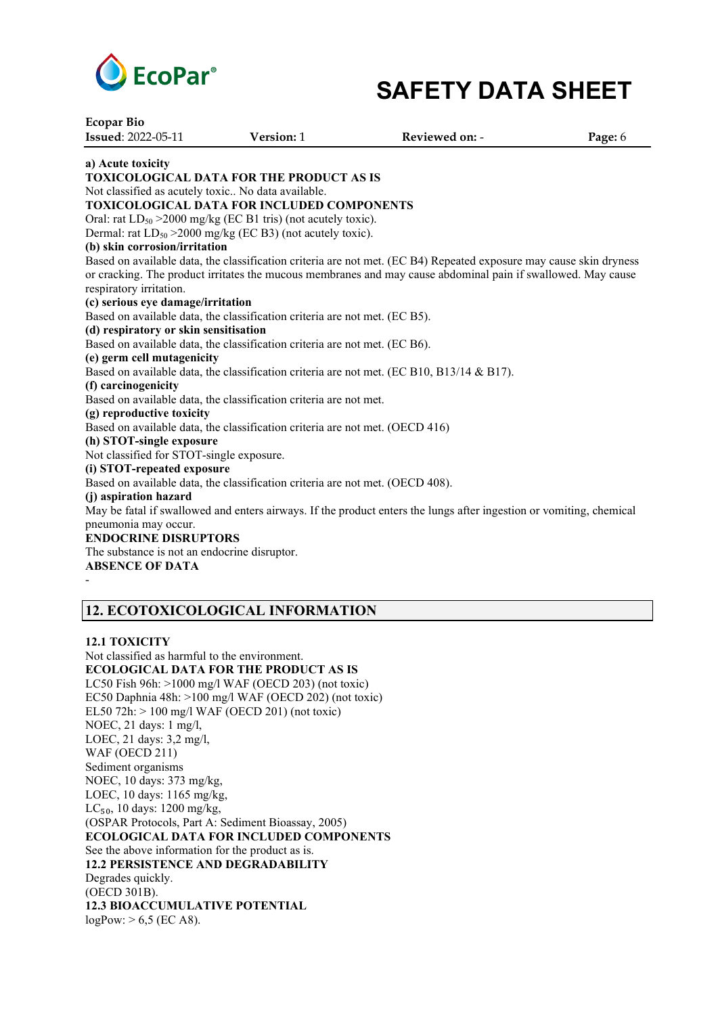

**Ecopar Bio Issued**: 2022-05-11 **Version:** 1 **Reviewed on:** - **Page:** 6 **a) Acute toxicity TOXICOLOGICAL DATA FOR THE PRODUCT AS IS** Not classified as acutely toxic.. No data available. **TOXICOLOGICAL DATA FOR INCLUDED COMPONENTS** Oral: rat  $LD_{50} > 2000$  mg/kg (EC B1 tris) (not acutely toxic). Dermal: rat  $LD_{50} > 2000$  mg/kg (EC B3) (not acutely toxic). **(b) skin corrosion/irritation** Based on available data, the classification criteria are not met. (EC B4) Repeated exposure may cause skin dryness or cracking. The product irritates the mucous membranes and may cause abdominal pain if swallowed. May cause respiratory irritation. **(c) serious eye damage/irritation** Based on available data, the classification criteria are not met. (EC B5). **(d) respiratory or skin sensitisation** Based on available data, the classification criteria are not met. (EC B6). **(e) germ cell mutagenicity** Based on available data, the classification criteria are not met. (EC B10, B13/14 & B17). **(f) carcinogenicity** Based on available data, the classification criteria are not met. **(g) reproductive toxicity** Based on available data, the classification criteria are not met. (OECD 416) **(h) STOT-single exposure** Not classified for STOT-single exposure. **(i) STOT-repeated exposure** Based on available data, the classification criteria are not met. (OECD 408). **(j) aspiration hazard** May be fatal if swallowed and enters airways. If the product enters the lungs after ingestion or vomiting, chemical pneumonia may occur. **ENDOCRINE DISRUPTORS** The substance is not an endocrine disruptor. **ABSENCE OF DATA** -

# **12. ECOTOXICOLOGICAL INFORMATION**

#### **12.1 TOXICITY**

Not classified as harmful to the environment. **ECOLOGICAL DATA FOR THE PRODUCT AS IS** LC50 Fish 96h: >1000 mg/l WAF (OECD 203) (not toxic) EC50 Daphnia 48h: >100 mg/l WAF (OECD 202) (not toxic) EL50 72h: > 100 mg/l WAF (OECD 201) (not toxic) NOEC, 21 days: 1 mg/l, LOEC, 21 days: 3,2 mg/l, WAF (OECD 211) Sediment organisms NOEC, 10 days: 373 mg/kg, LOEC, 10 days: 1165 mg/kg,  $LC_{50}$ , 10 days: 1200 mg/kg, (OSPAR Protocols, Part A: Sediment Bioassay, 2005) **ECOLOGICAL DATA FOR INCLUDED COMPONENTS** See the above information for the product as is. **12.2 PERSISTENCE AND DEGRADABILITY** Degrades quickly. (OECD 301B). **12.3 BIOACCUMULATIVE POTENTIAL**  $logPow: > 6,5$  (EC A8).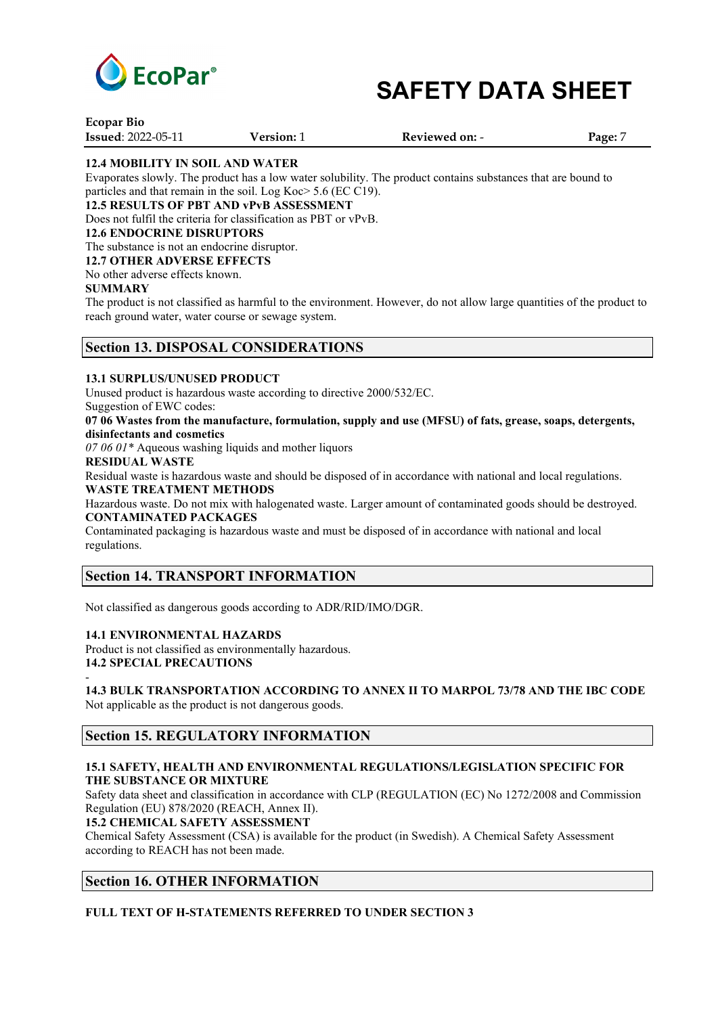

| <b>Ecopar Bio</b>         |                   |                       |         |
|---------------------------|-------------------|-----------------------|---------|
| <b>Issued: 2022-05-11</b> | <b>Version:</b> 1 | <b>Reviewed on: -</b> | Page: 7 |

### **12.4 MOBILITY IN SOIL AND WATER**

Evaporates slowly. The product has a low water solubility. The product contains substances that are bound to particles and that remain in the soil. Log Koc> 5.6 (EC C19).

#### **12.5 RESULTS OF PBT AND vPvB ASSESSMENT**

Does not fulfil the criteria for classification as PBT or vPvB.

#### **12.6 ENDOCRINE DISRUPTORS**

The substance is not an endocrine disruptor.

#### **12.7 OTHER ADVERSE EFFECTS**

No other adverse effects known.

#### **SUMMARY**

The product is not classified as harmful to the environment. However, do not allow large quantities of the product to reach ground water, water course or sewage system.

### **Section 13. DISPOSAL CONSIDERATIONS**

#### **13.1 SURPLUS/UNUSED PRODUCT**

Unused product is hazardous waste according to directive 2000/532/EC.

Suggestion of EWC codes:

**07 06 Wastes from the manufacture, formulation, supply and use (MFSU) of fats, grease, soaps, detergents, disinfectants and cosmetics**

*07 06 01\** Aqueous washing liquids and mother liquors

#### **RESIDUAL WASTE**

Residual waste is hazardous waste and should be disposed of in accordance with national and local regulations. **WASTE TREATMENT METHODS**

Hazardous waste. Do not mix with halogenated waste. Larger amount of contaminated goods should be destroyed. **CONTAMINATED PACKAGES**

Contaminated packaging is hazardous waste and must be disposed of in accordance with national and local regulations.

### **Section 14. TRANSPORT INFORMATION**

Not classified as dangerous goods according to ADR/RID/IMO/DGR.

#### **14.1 ENVIRONMENTAL HAZARDS**

Product is not classified as environmentally hazardous. **14.2 SPECIAL PRECAUTIONS**

-

**14.3 BULK TRANSPORTATION ACCORDING TO ANNEX II TO MARPOL 73/78 AND THE IBC CODE** Not applicable as the product is not dangerous goods.

### **Section 15. REGULATORY INFORMATION**

#### **15.1 SAFETY, HEALTH AND ENVIRONMENTAL REGULATIONS/LEGISLATION SPECIFIC FOR THE SUBSTANCE OR MIXTURE**

Safety data sheet and classification in accordance with CLP (REGULATION (EC) No 1272/2008 and Commission Regulation (EU) 878/2020 (REACH, Annex II).

**15.2 CHEMICAL SAFETY ASSESSMENT**

Chemical Safety Assessment (CSA) is available for the product (in Swedish). A Chemical Safety Assessment according to REACH has not been made.

## **Section 16. OTHER INFORMATION**

### **FULL TEXT OF H-STATEMENTS REFERRED TO UNDER SECTION 3**